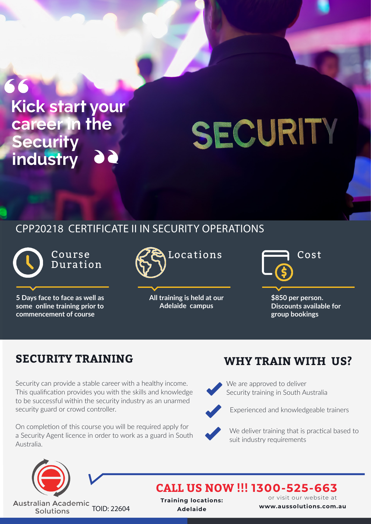## 66 **Kick start your career in the Security industry**

Activity – Class Discussion

# SECURITY

## CPP20218 CERTIFICATE II IN SECURITY OPERATIONS

Course Duration

**5 Days face to face as well as some online training prior to commencement of course**



**All training is held at our Adelaide campus**

**\$850 per person. Discounts available for group bookings**

## **SECURITY TRAINING WHY TRAIN WITH US?**

Security can provide a stable career with a healthy income. This qualification provides you with the skills and knowledge to be successful within the security industry as an unarmed security guard or crowd controller.

On completion of this course you will be required apply for a Security Agent licence in order to work as a guard in South Australia.



We are approved to deliver Security training in South Australia



Experienced and knowledgeable trainers



We deliver training that is practical based to suit industry requirements



**Australian Academic** TOID: 22604 Solutions

**CALL US NOW !!! 1300-525-663**

**Training locations: Adelaide**

or visit our website at **www.aussolutions.com.au**